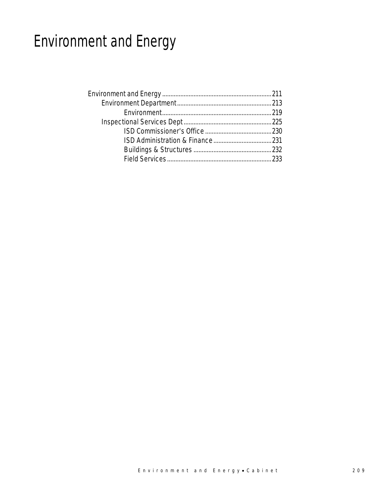# Environment and Energy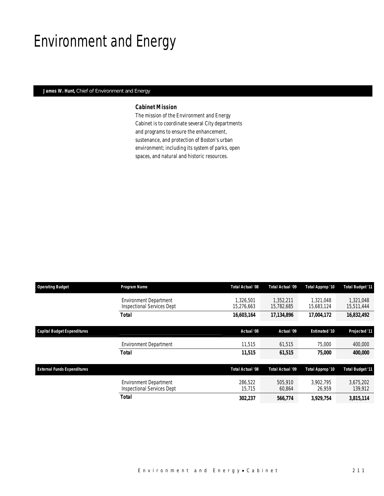# Environment and Energy

## *James W. Hunt, Chief of Environment and Energy*

### *Cabinet Mission*

The mission of the Environment and Energy Cabinet is to coordinate several City departments and programs to ensure the enhancement, sustenance, and protection of Boston's urban environment; including its system of parks, open spaces, and natural and historic resources.

| <b>Operating Budget</b>            | Program Name                                                       | Total Actual '08        | Total Actual '09        | Total Approp '10        | <b>Total Budget '11</b> |
|------------------------------------|--------------------------------------------------------------------|-------------------------|-------------------------|-------------------------|-------------------------|
|                                    | <b>Environment Department</b><br><b>Inspectional Services Dept</b> | 1,326,501<br>15,276,663 | 1.352.211<br>15,782,685 | 1.321.048<br>15,683,124 | 1,321,048<br>15,511,444 |
|                                    | Total                                                              | 16,603,164              | 17,134,896              | 17,004,172              | 16,832,492              |
| <b>Capital Budget Expenditures</b> |                                                                    | Actual '08              | Actual '09              | <b>Estimated '10</b>    | Projected '11           |
|                                    | <b>Environment Department</b>                                      | 11,515                  | 61,515                  | 75,000                  | 400,000                 |
|                                    | <b>Total</b>                                                       | 11,515                  | 61,515                  | 75,000                  | 400,000                 |
| <b>External Funds Expenditures</b> |                                                                    | <b>Total Actual '08</b> | Total Actual '09        | Total Approp '10        | <b>Total Budget '11</b> |
|                                    | <b>Environment Department</b><br>Inspectional Services Dept        | 286.522<br>15.715       | 505,910<br>60,864       | 3.902.795<br>26,959     | 3,675,202<br>139,912    |
|                                    | Total                                                              | 302,237                 | 566,774                 | 3,929,754               | 3,815,114               |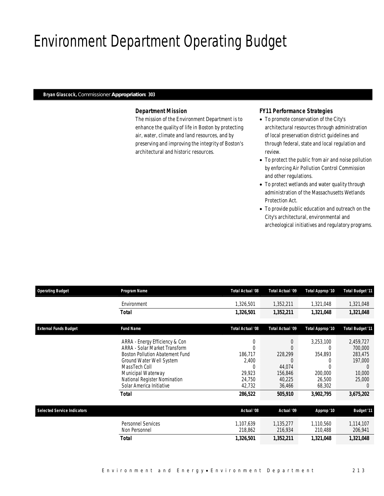# Environment Department Operating Budget

#### *Bryan Glascock, Commissioner Appropriation: 303*

### *Department Mission*

The mission of the Environment Department is to enhance the quality of life in Boston by protecting air, water, climate and land resources, and by preserving and improving the integrity of Boston's architectural and historic resources.

### *FY11 Performance Strategies*

- To promote conservation of the City's architectural resources through administration of local preservation district guidelines and through federal, state and local regulation and review.
- To protect the public from air and noise pollution by enforcing Air Pollution Control Commission and other regulations.
- To protect wetlands and water quality through administration of the Massachusetts Wetlands Protection Act.
- To provide public education and outreach on the City's architectural, environmental and archeological initiatives and regulatory programs.

| <b>Operating Budget</b>            | Program Name                    | Total Actual '08 | <b>Total Actual '09</b> | Total Approp '10 | <b>Total Budget '11</b> |
|------------------------------------|---------------------------------|------------------|-------------------------|------------------|-------------------------|
|                                    | Environment                     | 1,326,501        | 1,352,211               | 1,321,048        | 1,321,048               |
|                                    | Total                           | 1,326,501        | 1,352,211               | 1,321,048        | 1,321,048               |
| <b>External Funds Budget</b>       | <b>Fund Name</b>                | Total Actual '08 | <b>Total Actual '09</b> | Total Approp '10 | <b>Total Budget '11</b> |
|                                    |                                 |                  |                         |                  |                         |
|                                    | ARRA - Energy Efficiency & Con  | $\mathbf 0$      | 0                       | 3,253,100        | 2,459,727               |
|                                    | ARRA - Solar Market Transform   | $\Omega$         |                         | 0                | 700,000                 |
|                                    | Boston Pollution Abatement Fund | 186,717          | 228,299                 | 354,893          | 283,475                 |
|                                    | Ground Water Well System        | 2,400            |                         |                  | 197,000                 |
|                                    | MassTech Coll                   | C                | 44,074                  |                  | $\left( \right)$        |
|                                    | Municipal Waterway              | 29,923           | 156,846                 | 200,000          | 10,000                  |
|                                    | National Register Nomination    | 24,750           | 40,225                  | 26,500           | 25,000                  |
|                                    | Solar America Initiative        | 42,732           | 36,466                  | 68,302           | $\theta$                |
|                                    | <b>Total</b>                    | 286,522          | 505,910                 | 3,902,795        | 3,675,202               |
|                                    |                                 |                  |                         |                  |                         |
| <b>Selected Service Indicators</b> |                                 | Actual '08       | Actual '09              | Approp '10       | <b>Budget '11</b>       |
|                                    | <b>Personnel Services</b>       | 1,107,639        | 1,135,277               | 1,110,560        | 1,114,107               |
|                                    | Non Personnel                   | 218,862          | 216,934                 | 210,488          | 206,941                 |
|                                    | <b>Total</b>                    | 1,326,501        | 1,352,211               | 1,321,048        | 1,321,048               |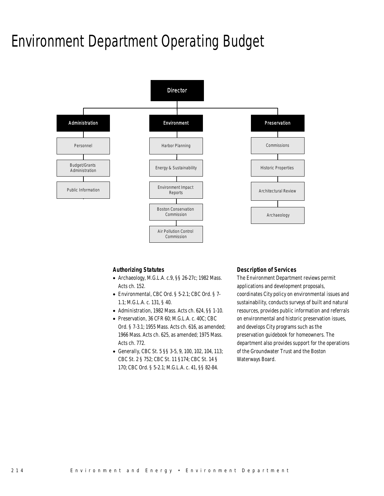# Environment Department Operating Budget



### *Authorizing Statutes*

- Archaeology, M.G.L.A. c.9, §§ 26-27c; 1982 Mass. Acts ch. 152.
- Environmental, CBC Ord. § 5-2.1; CBC Ord. § 7- 1.1; M.G.L.A. c. 131, § 40.
- Administration, 1982 Mass. Acts ch. 624, §§ 1-10.
- Preservation, 36 CFR 60; M.G.L.A. c. 40C; CBC Ord. § 7-3.1; 1955 Mass. Acts ch. 616, as amended; 1966 Mass. Acts ch. 625, as amended; 1975 Mass. Acts ch. 772.
- Generally, CBC St. 5 §§ 3-5, 9, 100, 102, 104, 113; CBC St. 2 § 752; CBC St. 11 §174; CBC St. 14 § 170; CBC Ord. § 5-2.1; M.G.L.A. c. 41, §§ 82-84.

#### *Description of Services*

The Environment Department reviews permit applications and development proposals, coordinates City policy on environmental issues and sustainability, conducts surveys of built and natural resources, provides public information and referrals on environmental and historic preservation issues, and develops City programs such as the preservation guidebook for homeowners. The department also provides support for the operations of the Groundwater Trust and the Boston Waterways Board.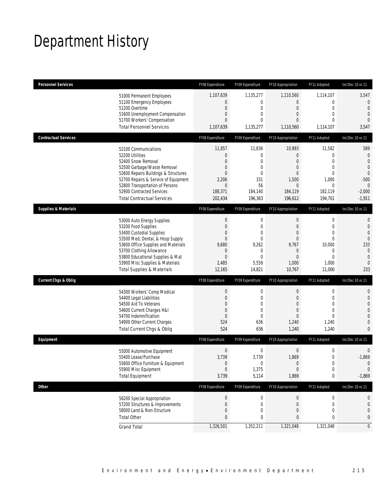# Department History

| <b>Personnel Services</b>       |                                                                                                                                                                                                                                                                                                      | FY08 Expenditure                                                                                                             | FY09 Expenditure                                                                           | FY10 Appropriation                                                                                                    | FY11 Adopted                                                                                                                  | Inc/Dec 10 vs 11                                                                                              |
|---------------------------------|------------------------------------------------------------------------------------------------------------------------------------------------------------------------------------------------------------------------------------------------------------------------------------------------------|------------------------------------------------------------------------------------------------------------------------------|--------------------------------------------------------------------------------------------|-----------------------------------------------------------------------------------------------------------------------|-------------------------------------------------------------------------------------------------------------------------------|---------------------------------------------------------------------------------------------------------------|
|                                 | 51000 Permanent Employees<br>51100 Emergency Employees<br>51200 Overtime<br>51600 Unemployment Compensation<br>51700 Workers' Compensation<br><b>Total Personnel Services</b>                                                                                                                        | 1,107,639<br>0<br>$\boldsymbol{0}$<br>0<br>$\mathbf{0}$<br>1,107,639                                                         | 1,135,277<br>0<br>0<br>0<br>$\Omega$<br>1,135,277                                          | 1,110,560<br>0<br>$\mathbf 0$<br>0<br>0<br>1,110,560                                                                  | 1,114,107<br>$\mathbf 0$<br>$\mathbf 0$<br>$\mathbf{0}$<br>$\Omega$<br>1,114,107                                              | 3,547<br>0<br>$\theta$<br>$\overline{0}$<br>$\Omega$<br>3,547                                                 |
| <b>Contractual Services</b>     |                                                                                                                                                                                                                                                                                                      | FY08 Expenditure                                                                                                             | FY09 Expenditure                                                                           | FY10 Appropriation                                                                                                    | FY11 Adopted                                                                                                                  | Inc/Dec 10 vs 11                                                                                              |
|                                 | 52100 Communications<br>52200 Utilities<br>52400 Snow Removal<br>52500 Garbage/Waste Removal<br>52600 Repairs Buildings & Structures<br>52700 Repairs & Service of Equipment<br>52800 Transportation of Persons<br>52900 Contracted Services<br><b>Total Contractual Services</b>                    | 11,857<br>$\mathbf 0$<br>$\overline{0}$<br>0<br>0<br>2,206<br>$\theta$<br>188,371<br>202,434                                 | 11,836<br>0<br>$\Omega$<br>$\mathbf{0}$<br>$\mathbf{0}$<br>331<br>56<br>184,140<br>196,363 | 10,993<br>0<br>0<br>0<br>0<br>1,500<br>$\bf 0$<br>184,119<br>196,612                                                  | 11,582<br>$\mathbf 0$<br>$\overline{0}$<br>$\mathbf{0}$<br>$\mathbf{0}$<br>1,000<br>$\mathbf 0$<br>182,119<br>194,701         | 589<br>$\theta$<br>$\overline{0}$<br>$\overline{0}$<br>$\theta$<br>$-500$<br>$\theta$<br>$-2,000$<br>$-1,911$ |
| <b>Supplies &amp; Materials</b> |                                                                                                                                                                                                                                                                                                      | FY08 Expenditure                                                                                                             | FY09 Expenditure                                                                           | FY10 Appropriation                                                                                                    | FY11 Adopted                                                                                                                  | Inc/Dec 10 vs 11                                                                                              |
|                                 | 53000 Auto Energy Supplies<br>53200 Food Supplies<br>53400 Custodial Supplies<br>53500 Med, Dental, & Hosp Supply<br>53600 Office Supplies and Materials<br>53700 Clothing Allowance<br>53800 Educational Supplies & Mat<br>53900 Misc Supplies & Materials<br><b>Total Supplies &amp; Materials</b> | $\boldsymbol{0}$<br>$\boldsymbol{0}$<br>0<br>$\boldsymbol{0}$<br>9,680<br>$\mathbf 0$<br>$\boldsymbol{0}$<br>2,485<br>12,165 | 0<br>0<br>$\mathbf{0}$<br>0<br>9,262<br>0<br>$\overline{0}$<br>5,559<br>14,821             | $\boldsymbol{0}$<br>$\boldsymbol{0}$<br>0<br>$\mathbf 0$<br>9,767<br>$\mathbf 0$<br>$\overline{0}$<br>1,000<br>10,767 | $\boldsymbol{0}$<br>$\mathbf 0$<br>$\mathbf{0}$<br>$\mathbf{0}$<br>10,000<br>$\mathbf 0$<br>$\overline{0}$<br>1,000<br>11,000 | 0<br>$\mathbf{0}$<br>$\overline{0}$<br>$\overline{0}$<br>233<br>$\mathbf 0$<br>$\theta$<br>$\theta$<br>233    |
| <b>Current Chgs &amp; Oblig</b> |                                                                                                                                                                                                                                                                                                      | FY08 Expenditure                                                                                                             | FY09 Expenditure                                                                           | FY10 Appropriation                                                                                                    | FY11 Adopted                                                                                                                  | Inc/Dec 10 vs 11                                                                                              |
|                                 | 54300 Workers' Comp Medical<br>54400 Legal Liabilities<br>54500 Aid To Veterans<br>54600 Current Charges H&I<br>54700 Indemnification<br>54900 Other Current Charges<br>Total Current Chgs & Oblig                                                                                                   | $\boldsymbol{0}$<br>$\boldsymbol{0}$<br>0<br>0<br>$\mathbf{0}$<br>524<br>524                                                 | $\boldsymbol{0}$<br>0<br>$\mathbf{0}$<br>$\overline{0}$<br>$\overline{0}$<br>636<br>636    | $\boldsymbol{0}$<br>$\mathbf 0$<br>0<br>$\mathbf 0$<br>$\overline{0}$<br>1,240<br>1,240                               | $\boldsymbol{0}$<br>$\mathbf 0$<br>$\mathbf{0}$<br>$\mathbf{0}$<br>$\mathbf{0}$<br>1,240<br>1,240                             | 0<br>$\mathbf 0$<br>0<br>0<br>0<br>$\mathbf 0$<br>0                                                           |
| Equipment                       |                                                                                                                                                                                                                                                                                                      | FY08 Expenditure                                                                                                             | FY09 Expenditure                                                                           | FY10 Appropriation                                                                                                    | FY11 Adopted                                                                                                                  | Inc/Dec 10 vs 11                                                                                              |
|                                 | 55000 Automotive Equipment<br>55400 Lease/Purchase<br>55600 Office Furniture & Equipment<br>55900 Misc Equipment<br><b>Total Equipment</b>                                                                                                                                                           | $\boldsymbol{0}$<br>3,739<br>$\bf{0}$<br>$\boldsymbol{0}$<br>3,739                                                           | 0<br>3,739<br>0<br>1,375<br>5,114                                                          | $\boldsymbol{0}$<br>1,869<br>$\theta$<br>$\overline{0}$<br>1,869                                                      | $\boldsymbol{0}$<br>$\mathbf 0$<br>$\boldsymbol{0}$<br>$\mathbf 0$<br>0                                                       | 0<br>$-1,869$<br>$\theta$<br>$\theta$<br>$-1,869$                                                             |
| Other                           |                                                                                                                                                                                                                                                                                                      | FY08 Expenditure                                                                                                             | FY09 Expenditure                                                                           | FY10 Appropriation                                                                                                    | FY11 Adopted                                                                                                                  | Inc/Dec 10 vs 11                                                                                              |
|                                 | 56200 Special Appropriation<br>57200 Structures & Improvements<br>58000 Land & Non-Structure<br><b>Total Other</b>                                                                                                                                                                                   | $\pmb{0}$<br>$\bf{0}$<br>$\boldsymbol{0}$<br>$\pmb{0}$                                                                       | 0<br>0<br>0<br>0                                                                           | $\overline{0}$<br>$\mathbf 0$<br>0<br>0                                                                               | 0<br>$\mathbf 0$<br>$\mathbf{0}$<br>0                                                                                         | 0<br>0<br>0<br>0                                                                                              |
|                                 | <b>Grand Total</b>                                                                                                                                                                                                                                                                                   | 1,326,501                                                                                                                    | 1,352,211                                                                                  | 1,321,048                                                                                                             | 1,321,048                                                                                                                     | $\overline{0}$                                                                                                |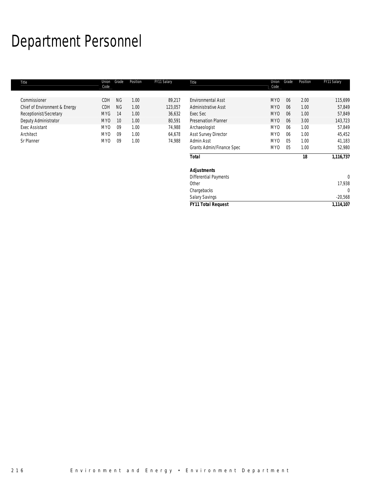# Department Personnel

| Title                         | Union<br>Code   | Grade     | Position | FY11 Salary | Title                        | Union<br>Code   | Grade          | Position | FY11 Salary  |
|-------------------------------|-----------------|-----------|----------|-------------|------------------------------|-----------------|----------------|----------|--------------|
| Commissioner                  | CDH             | <b>NG</b> | 1.00     | 89,217      | <b>Environmental Asst</b>    | MY <sub>0</sub> | 06             | 2.00     | 115,699      |
| Chief of Environment & Energy | CDH             | <b>NG</b> | 1.00     | 123,057     | Administrative Asst          | <b>MYO</b>      | 06             | 1.00     | 57,849       |
| Receptionist/Secretary        | <b>MYG</b>      | 14        | 1.00     | 36,632      | Exec Sec                     | <b>MYO</b>      | 06             | 1.00     | 57,849       |
| Deputy Administrator          | <b>MYO</b>      | 10        | 1.00     | 80,591      | <b>Preservation Planner</b>  | <b>MYO</b>      | 06             | 3.00     | 143,723      |
| <b>Exec Assistant</b>         | MY <sub>0</sub> | 09        | 1.00     | 74,988      | Archaeologist                | MY <sub>0</sub> | 06             | 1.00     | 57,849       |
| Architect                     | MY <sub>0</sub> | 09        | 1.00     | 64,678      | Asst Survey Director         | MY <sub>0</sub> | 06             | 1.00     | 45,452       |
| Sr Planner                    | MY <sub>0</sub> | 09        | 1.00     | 74,988      | Admin Asst                   | MY <sub>0</sub> | 0 <sub>5</sub> | 1.00     | 41,183       |
|                               |                 |           |          |             | Grants Admin/Finance Spec    | MY <sub>0</sub> | 05             | 1.00     | 52,980       |
|                               |                 |           |          |             | <b>Total</b>                 |                 |                | 18       | 1,116,737    |
|                               |                 |           |          |             | <b>Adjustments</b>           |                 |                |          |              |
|                               |                 |           |          |             | <b>Differential Payments</b> |                 |                |          | $\mathbf{0}$ |
|                               |                 |           |          |             | Other                        |                 |                |          | 17,938       |
|                               |                 |           |          |             | Chargebacks                  |                 |                |          | 0            |
|                               |                 |           |          |             | <b>Salary Savings</b>        |                 |                |          | $-20,568$    |
|                               |                 |           |          |             | <b>FY11 Total Request</b>    |                 |                |          | 1,114,107    |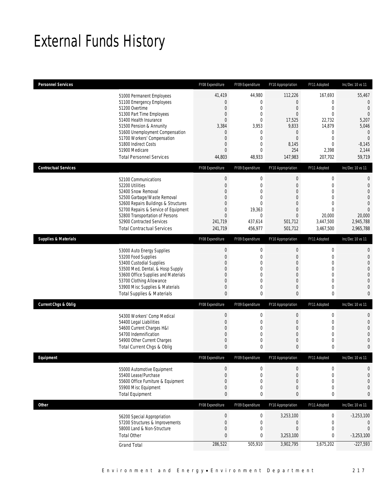# External Funds History

| <b>Personnel Services</b>       |                                                                                                                                                                                                                                                                                                            | FY08 Expenditure                                                                                         | FY09 Expenditure                                                                                                            | FY10 Appropriation                                                                                                                  | FY11 Adopted                                                                                                                                  | Inc/Dec 10 vs 11                                                                                                                      |
|---------------------------------|------------------------------------------------------------------------------------------------------------------------------------------------------------------------------------------------------------------------------------------------------------------------------------------------------------|----------------------------------------------------------------------------------------------------------|-----------------------------------------------------------------------------------------------------------------------------|-------------------------------------------------------------------------------------------------------------------------------------|-----------------------------------------------------------------------------------------------------------------------------------------------|---------------------------------------------------------------------------------------------------------------------------------------|
|                                 | 51000 Permanent Employees<br>51100 Emergency Employees<br>51200 Overtime<br>51300 Part Time Employees<br>51400 Health Insurance<br>51500 Pension & Annunity<br>51600 Unemployment Compensation<br>51700 Workers' Compensation<br>51800 Indirect Costs<br>51900 Medicare<br><b>Total Personnel Services</b> | 41,419<br>0<br>0<br>0<br>$\overline{0}$<br>3,384<br>0<br>0<br>0<br>$\overline{0}$<br>44,803              | 44,980<br>0<br>0<br>0<br>0<br>3,953<br>0<br>0<br>0<br>$\theta$<br>48,933                                                    | 112,226<br>$\boldsymbol{0}$<br>$\boldsymbol{0}$<br>$\overline{0}$<br>17,525<br>9,833<br>0<br>$\mathbf 0$<br>8,145<br>254<br>147,983 | 167,693<br>$\mathbf{0}$<br>$\mathbf 0$<br>$\mathbf{0}$<br>22,732<br>14,879<br>$\mathbf{0}$<br>$\mathbf 0$<br>$\mathbf{0}$<br>2,398<br>207,702 | 55,467<br>$\mathbf{0}$<br>$\mathbf{0}$<br>$\mathbf{0}$<br>5,207<br>5,046<br>$\theta$<br>$\overline{0}$<br>$-8,145$<br>2,144<br>59,719 |
| <b>Contractual Services</b>     |                                                                                                                                                                                                                                                                                                            | FY08 Expenditure                                                                                         | FY09 Expenditure                                                                                                            | FY10 Appropriation                                                                                                                  | FY11 Adopted                                                                                                                                  | Inc/Dec 10 vs 11                                                                                                                      |
|                                 | 52100 Communications<br>52200 Utilities<br>52400 Snow Removal<br>52500 Garbage/Waste Removal<br>52600 Repairs Buildings & Structures<br>52700 Repairs & Service of Equipment<br>52800 Transportation of Persons<br>52900 Contracted Services<br><b>Total Contractual Services</b>                          | $\boldsymbol{0}$<br>$\mathbf 0$<br>0<br>0<br>$\overline{0}$<br>0<br>$\overline{0}$<br>241,719<br>241,719 | $\boldsymbol{0}$<br>$\boldsymbol{0}$<br>0<br>$\mathbf 0$<br>$\mathbf 0$<br>19,363<br>$\boldsymbol{0}$<br>437,614<br>456,977 | $\boldsymbol{0}$<br>$\boldsymbol{0}$<br>$\overline{0}$<br>0<br>0<br>0<br>$\overline{0}$<br>501,712<br>501,712                       | $\mathbf 0$<br>$\mathbf{0}$<br>0<br>$\Omega$<br>$\Omega$<br>$\theta$<br>20,000<br>3,447,500<br>3,467,500                                      | $\mathbf{0}$<br>$\mathbf{0}$<br>$\overline{0}$<br>$\left($<br>$\mathbf 0$<br>$\Omega$<br>20,000<br>2,945,788<br>2,965,788             |
| <b>Supplies &amp; Materials</b> |                                                                                                                                                                                                                                                                                                            | FY08 Expenditure                                                                                         | FY09 Expenditure                                                                                                            | FY10 Appropriation                                                                                                                  | FY11 Adopted                                                                                                                                  | Inc/Dec 10 vs 11                                                                                                                      |
|                                 | 53000 Auto Energy Supplies<br>53200 Food Supplies<br>53400 Custodial Supplies<br>53500 Med, Dental, & Hosp Supply<br>53600 Office Supplies and Materials<br>53700 Clothing Allowance<br>53900 Misc Supplies & Materials<br><b>Total Supplies &amp; Materials</b>                                           | $\boldsymbol{0}$<br>0<br>0<br>0<br>0<br>$\overline{0}$<br>0<br>0                                         | 0<br>0<br>0<br>$\mathbf 0$<br>$\mathbf 0$<br>0<br>0<br>0                                                                    | 0<br>$\boldsymbol{0}$<br>0<br>$\overline{0}$<br>0<br>0<br>0<br>0                                                                    | $\mathbf 0$<br>$\mathbf{0}$<br>$\mathbf{0}$<br>$\mathbf{0}$<br>$\mathbf{0}$<br>$\mathbf{0}$<br>$\mathbf{0}$<br>$\mathbf 0$                    | $\theta$<br>$\mathbf{0}$<br>$\overline{0}$<br>$\mathbf 0$<br>$\mathbf 0$<br>$\Omega$<br>$\mathbf 0$<br>$\mathbf 0$                    |
| <b>Current Chgs &amp; Oblig</b> |                                                                                                                                                                                                                                                                                                            | FY08 Expenditure                                                                                         | FY09 Expenditure                                                                                                            | FY10 Appropriation                                                                                                                  | FY11 Adopted                                                                                                                                  | Inc/Dec 10 vs 11                                                                                                                      |
|                                 | 54300 Workers' Comp Medical<br>54400 Legal Liabilities<br>54600 Current Charges H&I<br>54700 Indemnification<br>54900 Other Current Charges<br>Total Current Chgs & Oblig                                                                                                                                  | 0<br>0<br>0<br>$\overline{0}$<br>0<br>0                                                                  | 0<br>0<br>0<br>0<br>$\mathbf 0$<br>0                                                                                        | 0<br>0<br>$\boldsymbol{0}$<br>0<br>0<br>0                                                                                           | $\mathbf 0$<br>$\mathbf{0}$<br>$\mathbf{0}$<br>$\mathbf{0}$<br>$\mathbf{0}$<br>0                                                              | 0<br>$\mathbf{0}$<br>$\overline{0}$<br>$\bigcap$<br>$\sqrt{ }$<br>$\mathbf 0$                                                         |
| Eauipment                       |                                                                                                                                                                                                                                                                                                            | FY08 Expenditure                                                                                         | FY09 Expenditure                                                                                                            | FY10 Appropriation                                                                                                                  | FY11 Adopted                                                                                                                                  | Inc/Dec 10 vs 11                                                                                                                      |
|                                 | 55000 Automotive Equipment<br>55400 Lease/Purchase<br>55600 Office Furniture & Equipment<br>55900 Misc Equipment<br><b>Total Equipment</b>                                                                                                                                                                 | $\boldsymbol{0}$<br>$\overline{0}$<br>0<br>$\mathbf 0$<br>0                                              | 0<br>0<br>0<br>0<br>0                                                                                                       | $\mathbf 0$<br>0<br>0<br>0<br>0                                                                                                     | $\mathbf{0}$<br>$\mathbf{0}$<br>$\mathbf{0}$<br>$\mathbf{0}$<br>0                                                                             | $\mathbf 0$<br>$\mathbf 0$<br>$\overline{0}$<br>$\mathbf{0}$<br>$\mathbf{0}$                                                          |
| <b>Other</b>                    |                                                                                                                                                                                                                                                                                                            | FY08 Expenditure                                                                                         | FY09 Expenditure                                                                                                            | FY10 Appropriation                                                                                                                  | FY11 Adopted                                                                                                                                  | Inc/Dec 10 vs 11                                                                                                                      |
|                                 | 56200 Special Appropriation<br>57200 Structures & Improvements<br>58000 Land & Non-Structure<br><b>Total Other</b><br><b>Grand Total</b>                                                                                                                                                                   | $\boldsymbol{0}$<br>$\mathbf 0$<br>$\mathbf 0$<br>0<br>286,522                                           | $\boldsymbol{0}$<br>0<br>$\boldsymbol{0}$<br>0<br>505,910                                                                   | 3,253,100<br>0<br>$\boldsymbol{0}$<br>3,253,100<br>3,902,795                                                                        | $\boldsymbol{0}$<br>$\mathbf 0$<br>$\mathbf 0$<br>0<br>3,675,202                                                                              | $-3,253,100$<br>$\mathbf{0}$<br>$\mathbf 0$<br>$-3,253,100$<br>$-227,593$                                                             |
|                                 |                                                                                                                                                                                                                                                                                                            |                                                                                                          |                                                                                                                             |                                                                                                                                     |                                                                                                                                               |                                                                                                                                       |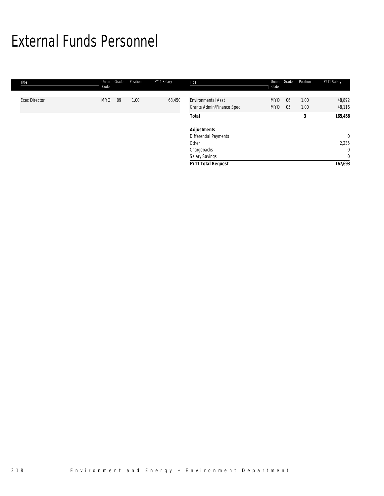# External Funds Personnel

| Title                | Union<br>Code   | Grade | Position | FY11 Salary | Title                                                  | Union<br>Code          | Grade    | Position     | FY11 Salary      |
|----------------------|-----------------|-------|----------|-------------|--------------------------------------------------------|------------------------|----------|--------------|------------------|
| <b>Exec Director</b> | MY <sub>0</sub> | 09    | 1.00     | 68,450      | <b>Environmental Asst</b><br>Grants Admin/Finance Spec | MY <sub>0</sub><br>MY0 | 06<br>05 | 1.00<br>1.00 | 48,892<br>48,116 |
|                      |                 |       |          |             | <b>Total</b>                                           |                        |          | 3            | 165,458          |
|                      |                 |       |          |             | <b>Adjustments</b>                                     |                        |          |              |                  |
|                      |                 |       |          |             | <b>Differential Payments</b>                           |                        |          |              | $\mathbf 0$      |
|                      |                 |       |          |             | Other                                                  |                        |          |              | 2,235            |
|                      |                 |       |          |             | Chargebacks                                            |                        |          |              | $\overline{0}$   |
|                      |                 |       |          |             | Salary Savings                                         |                        |          |              | $\overline{0}$   |
|                      |                 |       |          |             | <b>FY11 Total Request</b>                              |                        |          |              | 167,693          |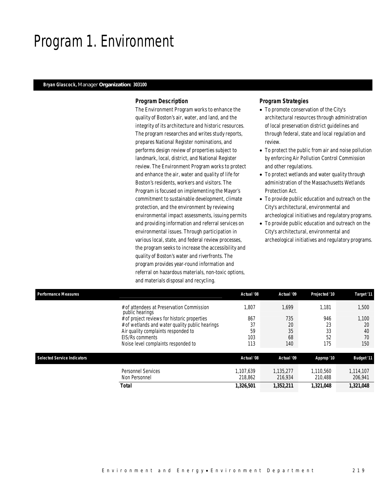# Program 1. Environment

### *Bryan Glascock, Manager Organization: 303100*

### *Program Description*

The Environment Program works to enhance the quality of Boston's air, water, and land, and the integrity of its architecture and historic resources. The program researches and writes study reports, prepares National Register nominations, and performs design review of properties subject to landmark, local, district, and National Register review. The Environment Program works to protect and enhance the air, water and quality of life for Boston's residents, workers and visitors. The Program is focused on implementing the Mayor's commitment to sustainable development, climate protection, and the environment by reviewing environmental impact assessments, issuing permits and providing information and referral services on environmental issues. Through participation in various local, state, and federal review processes, the program seeks to increase the accessibility and quality of Boston's water and riverfronts. The program provides year-round information and referral on hazardous materials, non-toxic options, and materials disposal and recycling.

- To promote conservation of the City's architectural resources through administration of local preservation district guidelines and through federal, state and local regulation and review.
- To protect the public from air and noise pollution by enforcing Air Pollution Control Commission and other regulations.
- To protect wetlands and water quality through administration of the Massachusetts Wetlands Protection Act.
- To provide public education and outreach on the City's architectural, environmental and archeological initiatives and regulatory programs.
- To provide public education and outreach on the City's architectural, environmental and archeological initiatives and regulatory programs.

| <b>Performance Measures</b> |                                                              | Actual '08           | Actual '09           | Projected '10        | Target '11           |
|-----------------------------|--------------------------------------------------------------|----------------------|----------------------|----------------------|----------------------|
|                             | # of attendees at Preservation Commission<br>public hearings | .807                 | 1.699                | 1.181                | 1,500                |
|                             | # of project reviews for historic properties                 | 867                  | 735                  | 946                  | 1,100                |
|                             | # of wetlands and water quality public hearings              | 37                   | 20                   | 23                   | 20                   |
|                             | Air quality complaints responded to                          | 59                   | 35                   | 33                   | 40                   |
|                             | EIS/Rs comments                                              | 103                  | 68                   | 52                   | 70                   |
|                             | Noise level complaints responded to                          | 113                  | 140                  | 175                  | 150                  |
| Selected Service Indicators |                                                              | Actual '08           | Actual '09           | Approp '10           | <b>Budget '11</b>    |
|                             | <b>Personnel Services</b><br>Non Personnel                   | 1.107.639<br>218.862 | 1.135.277<br>216.934 | 1.110.560<br>210.488 | 1,114,107<br>206,941 |
|                             | Total                                                        | 1,326,501            | 1,352,211            | 1,321,048            | 1,321,048            |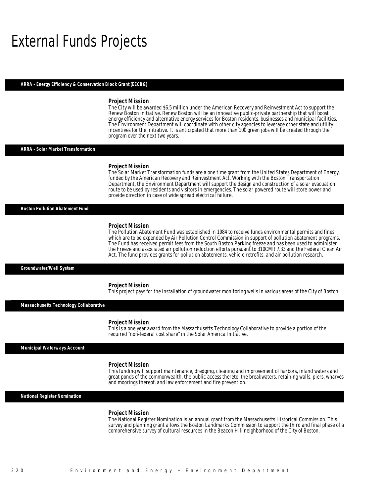## External Funds Projects

#### *ARRA - Energy Efficiency & Conservation Block Grant (EECBG)*

#### *Project Mission*

The City will be awarded \$6.5 million under the American Recovery and Reinvestment Act to support the Renew Boston initiative. Renew Boston will be an innovative public-private partnership that will boost energy efficiency and alternative energy services for Boston residents, businesses and municipal facilities. The Environment Department will coordinate with other city agencies to leverage other state and utility incentives for the initiative. It is anticipated that more than 100 green jobs will be created through the program over the next two years.

#### *ARRA - Solar Market Transformation*

#### *Project Mission*

Î

The Solar Market Transformation funds are a one time grant from the United States Department of Energy, funded by the American Recovery and Reinvestment Act. Working with the Boston Transportation Department, the Environment Department will support the design and construction of a solar evacuation route to be used by residents and visitors in emergencies. The solar powered route will store power and provide direction in case of wide spread electrical failure. Î

*Boston Pollution Abatement Fund* 

#### *Project Mission*

The Pollution Abatement Fund was established in 1984 to receive funds environmental permits and fines which are to be expended by Air Pollution Control Commission in support of pollution abatement programs. The Fund has received permit fees from the South Boston Parking freeze and has been used to administer the Freeze and associated air pollution reduction efforts pursuant to 310CMR 7.33 and the Federal Clean Air Act. The fund provides grants for pollution abatements, vehicle retrofits, and air pollution research.

#### *Groundwater/Well System*

#### *Project Mission*

This project pays for the installation of groundwater monitoring wells in various areas of the City of Boston.

*Massachusetts Technology Collaborative* 

#### *Project Mission*

This is a one year award from the Massachusetts Technology Collaborative to provide a portion of the required "non-federal cost share" in the Solar America Initiative.

*Municipal Waterways Account* 

#### *Project Mission*

This funding will support maintenance, dredging, cleaning and improvement of harbors, inland waters and great ponds of the commonwealth, the public access thereto, the breakwaters, retaining walls, piers, wharves and moorings thereof, and law enforcement and fire prevention.

*National Register Nomination* 

#### *Project Mission*

The National Register Nomination is an annual grant from the Massachusetts Historical Commission. This survey and planning grant allows the Boston Landmarks Commission to support the third and final phase of a comprehensive survey of cultural resources in the Beacon Hill neighborhood of the City of Boston.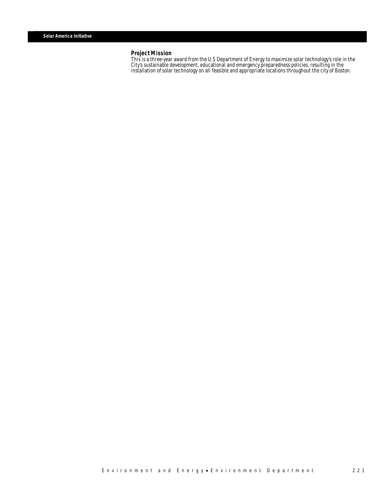### *Project Mission*

This is a three-year award from the U.S Department of Energy to maximize solar technology's role in the City's sustainable development, educational and emergency preparedness policies, resulting in the installation of solar technology on all feasible and appropriate locations throughout the city of Boston.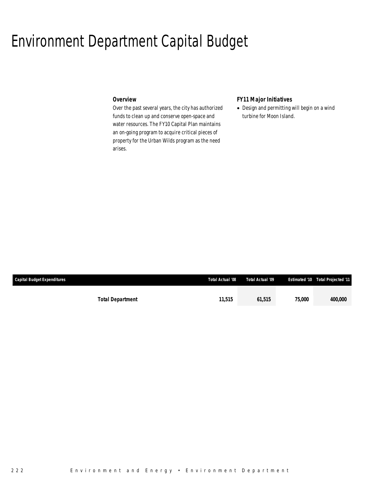## Environment Department Capital Budget

## *Overview*

Over the past several years, the city has authorized funds to clean up and conserve open-space and water resources. The FY10 Capital Plan maintains an on-going program to acquire critical pieces of property for the Urban Wilds program as the need arises.

## *FY11 Major Initiatives*

• Design and permitting will begin on a wind turbine for Moon Island.

| <b>Capital Budget Expenditures</b> |                         | Total Actual '08 | Total Actual '09 |               | <b>Estimated '10 Total Projected '11</b> |
|------------------------------------|-------------------------|------------------|------------------|---------------|------------------------------------------|
|                                    |                         |                  |                  |               |                                          |
|                                    | <b>Total Department</b> | 11.515           | 61.515           | <i>75.000</i> | 400,000                                  |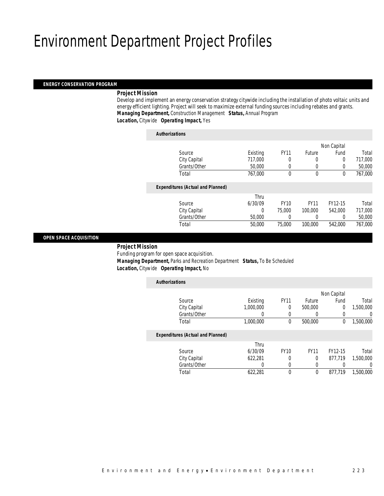# Environment Department Project Profiles

### *ENERGY CONSERVATION PROGRAM*

#### *Project Mission*

Develop and implement an energy conservation strategy citywide including the installation of photo voltaic units and energy efficient lighting. Project will seek to maximize external funding sources including rebates and grants. *Managing Department,* Construction Management *Status,* Annual Program

*Location,* Citywide *Operating Impact,* Yes

| Non Capital<br><b>FY11</b><br>Existing<br>Future<br>Fund<br>Source<br>717,000<br>City Capital<br>0<br>0<br>0<br>Grants/Other<br>50,000<br>$\Omega$<br>0<br>0<br>Total<br>767,000<br>$\theta$<br>$\theta$<br>$\theta$<br><b>Expenditures (Actual and Planned)</b><br>Thru<br><b>FY11</b><br>6/30/09<br><b>FY10</b><br>FY12-15<br>Source<br>75,000<br>City Capital<br>100,000<br>542,000<br>0<br>Grants/Other<br>50,000<br>0<br>0<br>0<br>Total<br>50,000<br>75,000<br>100,000<br>542.000 | <b>Authorizations</b> |  |  |         |
|-----------------------------------------------------------------------------------------------------------------------------------------------------------------------------------------------------------------------------------------------------------------------------------------------------------------------------------------------------------------------------------------------------------------------------------------------------------------------------------------|-----------------------|--|--|---------|
|                                                                                                                                                                                                                                                                                                                                                                                                                                                                                         |                       |  |  |         |
|                                                                                                                                                                                                                                                                                                                                                                                                                                                                                         |                       |  |  | Total   |
|                                                                                                                                                                                                                                                                                                                                                                                                                                                                                         |                       |  |  | 717,000 |
|                                                                                                                                                                                                                                                                                                                                                                                                                                                                                         |                       |  |  | 50,000  |
|                                                                                                                                                                                                                                                                                                                                                                                                                                                                                         |                       |  |  | 767,000 |
|                                                                                                                                                                                                                                                                                                                                                                                                                                                                                         |                       |  |  |         |
|                                                                                                                                                                                                                                                                                                                                                                                                                                                                                         |                       |  |  |         |
|                                                                                                                                                                                                                                                                                                                                                                                                                                                                                         |                       |  |  | Total   |
|                                                                                                                                                                                                                                                                                                                                                                                                                                                                                         |                       |  |  | 717,000 |
|                                                                                                                                                                                                                                                                                                                                                                                                                                                                                         |                       |  |  | 50,000  |
|                                                                                                                                                                                                                                                                                                                                                                                                                                                                                         |                       |  |  | 767,000 |

### *OPEN SPACE ACQUISITION*

#### *Project Mission*

Funding program for open space acquisition.

 *Managing Department,* Parks and Recreation Department *Status,* To Be Scheduled *Location,* Citywide *Operating Impact,* No

| <b>Authorizations</b>                    |           |             |             |             |           |
|------------------------------------------|-----------|-------------|-------------|-------------|-----------|
|                                          |           |             |             | Non Capital |           |
| Source                                   | Existing  | <b>FY11</b> | Future      | Fund        | Total     |
| City Capital                             | 1,000,000 | 0           | 500,000     | 0           | 1,500,000 |
| Grants/Other                             |           |             | 0           | 0           | 0         |
| Total                                    | 1,000,000 | 0           | 500,000     | 0           | 1,500,000 |
| <b>Expenditures (Actual and Planned)</b> |           |             |             |             |           |
|                                          | Thru      |             |             |             |           |
| Source                                   | 6/30/09   | <b>FY10</b> | <b>FY11</b> | FY12-15     | Total     |
| City Capital                             | 622.281   | 0           | 0           | 877.719     | 1.500.000 |
| Grants/Other                             | 0         |             | 0           | 0           | 0         |
| Total                                    | 622,281   | 0           | 0           | 877.719     | 1,500,000 |
|                                          |           |             |             |             |           |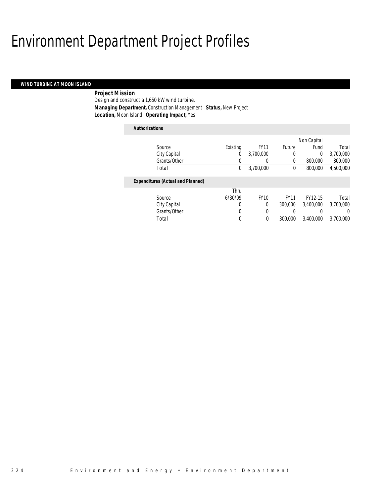# Environment Department Project Profiles

### *WIND TURBINE AT MOON ISLAND*

## *Project Mission*

Design and construct a 1,650 kW wind turbine. *Managing Department,* Construction Management *Status,* New Project *Location,* Moon Island *Operating Impact,* Yes

### *Authorizations*

|                                          |          |             |             | Non Capital |           |
|------------------------------------------|----------|-------------|-------------|-------------|-----------|
| Source                                   | Existing | <b>FY11</b> | Future      | Fund        | Total     |
| City Capital                             | 0        | 3,700,000   | 0           | 0           | 3,700,000 |
| Grants/Other                             | 0        | 0           | 0           | 800,000     | 800,000   |
| Total                                    | 0        | 3,700,000   | 0           | 800,000     | 4,500,000 |
|                                          |          |             |             |             |           |
| <b>Expenditures (Actual and Planned)</b> |          |             |             |             |           |
|                                          | Thru     |             |             |             |           |
| Source                                   | 6/30/09  | <b>FY10</b> | <b>FY11</b> | FY12-15     | Total     |
| City Capital                             | 0        | 0           | 300,000     | 3,400,000   | 3,700,000 |
| Grants/Other                             | 0        | 0           | 0           |             | $\Omega$  |
| Total                                    | 0        | 0           | 300,000     | 3,400,000   | 3,700,000 |
|                                          |          |             |             |             |           |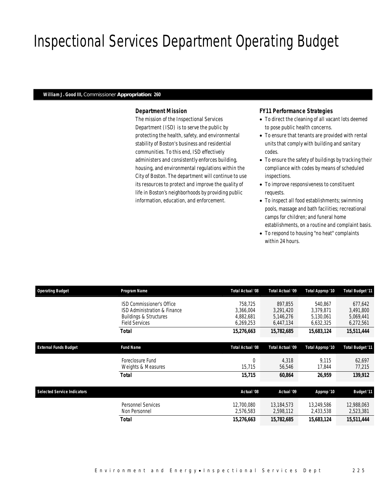# Inspectional Services Department Operating Budget

#### *William J. Good III, Commissioner Appropriation: 260*

### *Department Mission*

The mission of the Inspectional Services Department (ISD) is to serve the public by protecting the health, safety, and environmental stability of Boston's business and residential communities. To this end, ISD effectively administers and consistently enforces building, housing, and environmental regulations within the City of Boston. The department will continue to use its resources to protect and improve the quality of life in Boston's neighborhoods by providing public information, education, and enforcement.

### *FY11 Performance Strategies*

- To direct the cleaning of all vacant lots deemed to pose public health concerns.
- To ensure that tenants are provided with rental units that comply with building and sanitary codes.
- To ensure the safety of buildings by tracking their compliance with codes by means of scheduled inspections.
- To improve responsiveness to constituent requests.
- To inspect all food establishments; swimming pools, massage and bath facilities; recreational camps for children; and funeral home establishments, on a routine and complaint basis.
- To respond to housing "no heat" complaints within 24 hours.

| <b>Operating Budget</b>            | Program Name                                                                                                            | Total Actual '08                               | <b>Total Actual '09</b>                        | Total Approp '10                               | Total Budget '11                               |
|------------------------------------|-------------------------------------------------------------------------------------------------------------------------|------------------------------------------------|------------------------------------------------|------------------------------------------------|------------------------------------------------|
|                                    | ISD Commissioner's Office<br>ISD Administration & Finance<br><b>Buildings &amp; Structures</b><br><b>Field Services</b> | 758.725<br>3,366,004<br>4,882,681<br>6,269,253 | 897.855<br>3,291,420<br>5,146,276<br>6,447,134 | 540.867<br>3,379,871<br>5,130,061<br>6,632,325 | 677.642<br>3,491,800<br>5,069,441<br>6,272,561 |
|                                    | Total                                                                                                                   | 15,276,663                                     | 15,782,685                                     | 15,683,124                                     | 15,511,444                                     |
| <b>External Funds Budget</b>       | <b>Fund Name</b>                                                                                                        | Total Actual '08                               | Total Actual '09                               | Total Approp '10                               | Total Budget '11                               |
|                                    | Foreclosure Fund<br>Weights & Measures                                                                                  | $\theta$<br>15,715                             | 4,318<br>56,546                                | 9.115<br>17,844                                | 62,697<br>77,215                               |
|                                    | Total                                                                                                                   | 15,715                                         | 60,864                                         | 26.959                                         | 139,912                                        |
| <b>Selected Service Indicators</b> |                                                                                                                         | Actual '08                                     | Actual '09                                     | Approp '10                                     | <b>Budget '11</b>                              |
|                                    | <b>Personnel Services</b><br>Non Personnel                                                                              | 12,700,080<br>2,576,583                        | 13.184.573<br>2,598,112                        | 13,249,586<br>2,433,538                        | 12,988,063<br>2,523,381                        |
|                                    | Total                                                                                                                   | 15,276,663                                     | 15,782,685                                     | 15,683,124                                     | 15,511,444                                     |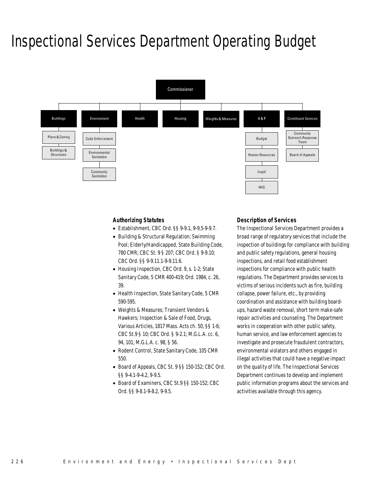# Inspectional Services Department Operating Budget



### *Authorizing Statutes*

- Establishment, CBC Ord. §§ 9-9.1, 9-9.5-9-9.7.
- Building & Structural Regulation; Swimming Pool; Elderly/Handicapped, State Building Code, 780 CMR; CBC St. 9 § 207; CBC Ord. § 9-9.10; CBC Ord. §§ 9-9.11.1-9-9.11.6.
- Housing Inspection, CBC Ord. 9, s. 1-2; State Sanitary Code, 5 CMR 400-419; Ord. 1984, c. 26, 39.
- Health Inspection, State Sanitary Code, 5 CMR 590-595.
- Weights & Measures; Transient Vendors & Hawkers; Inspection & Sale of Food, Drugs, Various Articles, 1817 Mass. Acts ch. 50, §§ 1-6; CBC St.9 § 10; CBC Ord. § 9-2.1; M.G.L.A. cc. 6, 94, 101; M.G.L.A. c. 98, § 56.
- Rodent Control, State Sanitary Code, 105 CMR 550.
- Board of Appeals, CBC St. 9 §§ 150-152; CBC Ord. §§ 9-4.1-9-4.2, 9-9.5.
- Board of Examiners, CBC St.9 §§ 150-152; CBC Ord. §§ 9-8.1-9-8.2, 9-9.5.

#### *Description of Services*

The Inspectional Services Department provides a broad range of regulatory services that include the inspection of buildings for compliance with building and public safety regulations, general housing inspections, and retail food establishment inspections for compliance with public health regulations. The Department provides services to victims of serious incidents such as fire, building collapse, power failure, etc., by providing coordination and assistance with building boardups, hazard waste removal, short term make-safe repair activities and counseling. The Department works in cooperation with other public safety, human service, and law enforcement agencies to investigate and prosecute fraudulent contractors, environmental violators and others engaged in illegal activities that could have a negative impact on the quality of life. The Inspectional Services Department continues to develop and implement public information programs about the services and activities available through this agency.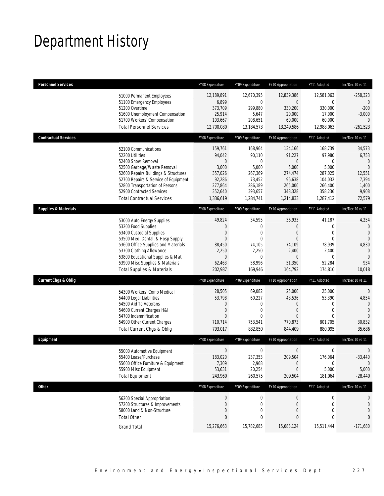# Department History

| <b>Personnel Services</b>       |                                                                                                                                                                                                                                                                                                      | FY08 Expenditure                                                                                   | FY09 Expenditure                                                                                     | FY10 Appropriation                                                                                                | FY11 Adopted                                                                                                  | Inc/Dec 10 vs 11                                                                                   |
|---------------------------------|------------------------------------------------------------------------------------------------------------------------------------------------------------------------------------------------------------------------------------------------------------------------------------------------------|----------------------------------------------------------------------------------------------------|------------------------------------------------------------------------------------------------------|-------------------------------------------------------------------------------------------------------------------|---------------------------------------------------------------------------------------------------------------|----------------------------------------------------------------------------------------------------|
|                                 | 51000 Permanent Employees<br>51100 Emergency Employees<br>51200 Overtime<br>51600 Unemployment Compensation<br>51700 Workers' Compensation<br><b>Total Personnel Services</b>                                                                                                                        | 12,189,891<br>6,899<br>373,709<br>25,914<br>103,667<br>12,700,080                                  | 12,670,395<br>0<br>299,880<br>5,647<br>208,651<br>13,184,573                                         | 12,839,386<br>$\mathbf 0$<br>330,200<br>20,000<br>60,000<br>13,249,586                                            | 12,581,063<br>$\mathbf 0$<br>330,000<br>17,000<br>60,000<br>12,988,063                                        | $-258,323$<br>$\mathbf{0}$<br>$-200$<br>$-3,000$<br>$\Omega$<br>$-261,523$                         |
| <b>Contractual Services</b>     |                                                                                                                                                                                                                                                                                                      | FY08 Expenditure                                                                                   | FY09 Expenditure                                                                                     | FY10 Appropriation                                                                                                | FY11 Adopted                                                                                                  | Inc/Dec 10 vs 11                                                                                   |
|                                 | 52100 Communications<br>52200 Utilities<br>52400 Snow Removal<br>52500 Garbage/Waste Removal<br>52600 Repairs Buildings & Structures<br>52700 Repairs & Service of Equipment<br>52800 Transportation of Persons<br>52900 Contracted Services<br><b>Total Contractual Services</b>                    | 159,761<br>94,042<br>$\mathbf{0}$<br>3,000<br>357,026<br>92,286<br>277,864<br>352,640<br>1,336,619 | 168,964<br>90,110<br>$\overline{0}$<br>5,000<br>267,369<br>73,452<br>286,189<br>393,657<br>1,284,741 | 134,166<br>91,227<br>$\boldsymbol{0}$<br>5,000<br>274,474<br>96,638<br>265,000<br>348,328<br>1,214,833            | 168,739<br>97,980<br>$\mathbf{0}$<br>5,000<br>287,025<br>104,032<br>266,400<br>358,236<br>1,287,412           | 34,573<br>6,753<br>$\mathbf{0}$<br>$\overline{0}$<br>12,551<br>7,394<br>1,400<br>9,908<br>72,579   |
| <b>Supplies &amp; Materials</b> |                                                                                                                                                                                                                                                                                                      | FY08 Expenditure                                                                                   | FY09 Expenditure                                                                                     | FY10 Appropriation                                                                                                | FY11 Adopted                                                                                                  | Inc/Dec 10 vs 11                                                                                   |
|                                 | 53000 Auto Energy Supplies<br>53200 Food Supplies<br>53400 Custodial Supplies<br>53500 Med, Dental, & Hosp Supply<br>53600 Office Supplies and Materials<br>53700 Clothing Allowance<br>53800 Educational Supplies & Mat<br>53900 Misc Supplies & Materials<br><b>Total Supplies &amp; Materials</b> | 49,824<br>$\mathbf 0$<br>0<br>$\mathbf{0}$<br>88,450<br>2,250<br>$\mathbf{0}$<br>62,463<br>202,987 | 34,595<br>$\mathbf 0$<br>$\mathbf{0}$<br>$\mathbf{0}$<br>74,105<br>2,250<br>0<br>58,996<br>169,946   | 36,933<br>$\mathbf 0$<br>$\mathbf{0}$<br>$\overline{0}$<br>74,109<br>2,400<br>$\overline{0}$<br>51,350<br>164,792 | 41,187<br>$\mathbf 0$<br>$\mathbf{0}$<br>$\mathbf{0}$<br>78,939<br>2,400<br>$\mathbf{0}$<br>52,284<br>174,810 | 4,254<br>$\mathbf 0$<br>$\mathbf{0}$<br>$\Omega$<br>4,830<br>$\Omega$<br>$\Omega$<br>934<br>10,018 |
| <b>Current Chgs &amp; Oblig</b> |                                                                                                                                                                                                                                                                                                      | FY08 Expenditure                                                                                   | FY09 Expenditure                                                                                     | FY10 Appropriation                                                                                                | FY11 Adopted                                                                                                  | Inc/Dec 10 vs 11                                                                                   |
|                                 | 54300 Workers' Comp Medical<br>54400 Legal Liabilities<br>54500 Aid To Veterans<br>54600 Current Charges H&I<br>54700 Indemnification<br>54900 Other Current Charges<br>Total Current Chgs & Oblig                                                                                                   | 28,505<br>53,798<br>$\mathbf 0$<br>$\mathbf 0$<br>$\Omega$<br>710,714<br>793,017                   | 69,082<br>60,227<br>$\mathbf 0$<br>$\mathbf 0$<br>$\Omega$<br>753,541<br>882,850                     | 25,000<br>48,536<br>0<br>$\mathbf{0}$<br>$\Omega$<br>770,873<br>844,409                                           | 25,000<br>53,390<br>$\mathbf{0}$<br>$\mathbf 0$<br>$\Omega$<br>801,705<br>880,095                             | $\theta$<br>4,854<br>$\mathbf{0}$<br>$\overline{0}$<br>$\overline{0}$<br>30,832<br>35,686          |
| Equipment                       |                                                                                                                                                                                                                                                                                                      | FY08 Expenditure                                                                                   | FY09 Expenditure                                                                                     | FY10 Appropriation                                                                                                | FY11 Adopted                                                                                                  | Inc/Dec 10 vs 11                                                                                   |
|                                 | 55000 Automotive Equipment<br>55400 Lease/Purchase<br>55600 Office Furniture & Equipment<br>55900 Misc Equipment<br><b>Total Equipment</b>                                                                                                                                                           | $\boldsymbol{0}$<br>183,020<br>7,309<br>53,631<br>243,960                                          | 0<br>237,353<br>2,968<br>20,254<br>260,575                                                           | $\boldsymbol{0}$<br>209,504<br>$\theta$<br>$\theta$<br>209,504                                                    | 0<br>176,064<br>0<br>5,000<br>181,064                                                                         | $\mathbf 0$<br>$-33,440$<br>$\overline{0}$<br>5,000<br>$-28,440$                                   |
| Other                           |                                                                                                                                                                                                                                                                                                      | FY08 Expenditure                                                                                   | FY09 Expenditure                                                                                     | FY10 Appropriation                                                                                                | FY11 Adopted                                                                                                  | Inc/Dec 10 vs 11                                                                                   |
|                                 | 56200 Special Appropriation<br>57200 Structures & Improvements<br>58000 Land & Non-Structure<br><b>Total Other</b>                                                                                                                                                                                   | $\boldsymbol{0}$<br>$\mathbf 0$<br>0<br>0                                                          | 0<br>0<br>0<br>0                                                                                     | $\boldsymbol{0}$<br>$\mathbf 0$<br>$\overline{0}$<br>0                                                            | $\boldsymbol{0}$<br>$\mathbf 0$<br>$\mathbf{0}$<br>0                                                          | 0<br>0<br>0<br>0                                                                                   |
|                                 | <b>Grand Total</b>                                                                                                                                                                                                                                                                                   | 15,276,663                                                                                         | 15,782,685                                                                                           | 15,683,124                                                                                                        | 15,511,444                                                                                                    | $-171,680$                                                                                         |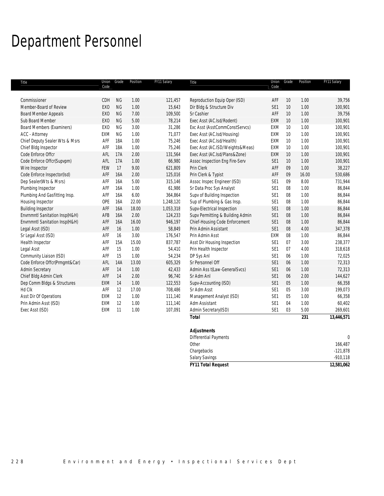# Department Personnel

| Title                            | Union<br>Code   | Grade      | Position | FY11 Salary | Title                            | Union<br>Code   | Grade | Position | FY11 Salary  |
|----------------------------------|-----------------|------------|----------|-------------|----------------------------------|-----------------|-------|----------|--------------|
|                                  |                 |            |          |             |                                  |                 |       |          |              |
| Commissioner                     | CDH             | <b>NG</b>  | 1.00     | 121,457     | Reproduction Equip Oper (ISD)    | AFF             | 10    | 1.00     | 39,756       |
| Member-Board of Review           | EX <sub>O</sub> | <b>NG</b>  | 1.00     | 15,643      | Dir Bldg & Structure Div         | SE <sub>1</sub> | 10    | 1.00     | 100,901      |
| <b>Board Member Appeals</b>      | EX <sub>O</sub> | <b>NG</b>  | 7.00     | 109,500     | Sr Cashier                       | AFF             | 10    | 1.00     | 39,756       |
| Sub Board Member                 | EX <sub>O</sub> | <b>NG</b>  | 5.00     | 78,214      | Exec Asst (AC.Isd/Rodent)        | EXM             | 10    | 1.00     | 100,901      |
| <b>Board Members (Examiners)</b> | EX <sub>0</sub> | <b>NG</b>  | 3.00     | 31,286      | Exc Asst (AsstCommConstServcs)   | EXM             | 10    | 1.00     | 100,901      |
| ACC - Attorney                   | EXM             | <b>NG</b>  | 1.00     | 71,077      | Exec Asst (AC.Isd/Housing)       | EXM             | 10    | 1.00     | 100,901      |
| Chief Deputy Sealer Wts & Msrs   | AFF             | <b>18A</b> | 1.00     | 75,246      | Exec Asst (AC.Isd/Health)        | EXM             | 10    | 1.00     | 100,901      |
| Chief Bldg Inspector             | AFF             | <b>18A</b> | 1.00     | 75,246      | Exec Asst (AC.ISD/Weights&Meas)  | EXM             | 10    | 1.00     | 100,901      |
| Code Enforce Offcr               | AFL             | 17A        | 2.00     | 131,564     | Exec Asst (AC.Isd/Plans&Zone)    | EXM             | 10    | 1.00     | 100,901      |
| Code Enforce Offcr(Supvpm)       | AFL             | 17A        | 1.00     | 66,980      | Assoc Inspection Eng Fire-Serv   | SE <sub>1</sub> | 10    | 1.00     | 100,901      |
| Wire Inspector                   | FEW             | 17         | 9.00     | 621,809     | Prin Clerk                       | AFF             | 09    | 1.00     | 38,227       |
| Code Enforce Inspector(Isd)      | AFF             | <b>16A</b> | 2.00     | 125,016     | Prin Clerk & Typist              | AFF             | 09    | 16.00    | 530,686      |
| Dep Sealer(Wts & Msrs)           | AFF             | 16A        | 5.00     | 315,146     | Assoc Inspec Engineer (ISD)      | SE <sub>1</sub> | 09    | 8.00     | 731,944      |
| Plumbing Inspector               | AFF             | 16A        | 1.00     | 61,986      | Sr Data Proc Sys Analyst         | SE <sub>1</sub> | 08    | 1.00     | 86,844       |
| Plumbing And Gasfitting Insp.    | AFF             | 16A        | 6.00     | 364,864     | Supv of Building Inspection      | SE <sub>1</sub> | 08    | 1.00     | 86,844       |
| Housing Inspector                | OPE             | 16A        | 22.00    | 1,248,120   | Sup of Plumbing & Gas Insp.      | SE <sub>1</sub> | 08    | 1.00     | 86,844       |
| <b>Building Inspector</b>        | AFF             | 16A        | 18.00    | 1,053,318   | Supv-Electrical Inspection       | SE <sub>1</sub> | 08    | 1.00     | 86,844       |
| Envrnmntl Sanitation Insp(H&H)   | AFB             | 16A        | 2.00     | 124,233     | Supv Permitting & Building Admin | SE <sub>1</sub> | 08    | 1.00     | 86,844       |
| Envrnmntl Sanitation Insp(H&H)   | AFF             | 16A        | 16.00    | 946,197     | Chief-Housing Code Enforcement   | SE <sub>1</sub> | 08    | 1.00     | 86,844       |
| Legal Asst (ISD)                 | AFF             | 16         | 1.00     | 58,849      | Prin Admin Assistant             | SE <sub>1</sub> | 08    | 4.00     | 347,378      |
| Sr Legal Asst (ISD)              | AFF             | 16         | 3.00     | 176,547     | Prin Admin Asst                  | EXM             | 08    | 1.00     | 86,844       |
| Health Inspector                 | AFF             | 15A        | 15.00    | 837,787     | Asst Dir Housing Inspection      | SE <sub>1</sub> | 07    | 3.00     | 238,377      |
| Legal Asst                       | AFF             | 15         | 1.00     | 54,410      | Prin Health Inspector            | SE <sub>1</sub> | 07    | 4.00     | 318,618      |
| Community Liaison (ISD)          | AFF             | 15         | 1.00     | 54,234      | DP Sys Anl                       | SE <sub>1</sub> | 06    | 1.00     | 72,025       |
| Code Enforce Offcr(Prmgmt&Car)   | AFL             | <b>14A</b> | 13.00    | 605,329     | Sr Personnel Off                 | SE <sub>1</sub> | 06    | 1.00     | 72,313       |
| Admin Secretary                  | AFF             | 14         | 1.00     | 42,433      | Admin Ass t(Law-GeneralSvcs)     | SE <sub>1</sub> | 06    | 1.00     | 72,313       |
| Chief Bldg Admin Clerk           | AFF             | 14         | 2.00     | 96,740      | Sr Adm Anl                       | SE <sub>1</sub> | 06    | 2.00     | 144,627      |
| Dep Comm Bldgs & Structures      | <b>EXM</b>      | 14         | 1.00     | 122,553     | Supv-Accounting (ISD)            | SE <sub>1</sub> | 05    | 1.00     | 66,358       |
| Hd Clk                           | AFF             | 12         | 17.00    | 708,486     | Sr Adm Asst                      | SE <sub>1</sub> | 05    | 3.00     | 199,073      |
| Asst Dir Of Operations           | EXM             | 12         | 1.00     | 111,140     | Management Analyst (ISD)         | SE <sub>1</sub> | 05    | 1.00     | 66,358       |
| Prin Admin Asst (ISD)            | EXM             | 12         | 1.00     | 111,140     | Adm Assistant                    | SE <sub>1</sub> | 04    | 1.00     | 60,402       |
| Exec Asst (ISD)                  | EXM             | 11         | 1.00     | 107,091     | Admin Secretary(ISD)             | SE <sub>1</sub> | 03    | 5.00     | 269,601      |
|                                  |                 |            |          |             | <b>Total</b>                     |                 |       | 231      | 13,446,571   |
|                                  |                 |            |          |             |                                  |                 |       |          |              |
|                                  |                 |            |          |             | <b>Adjustments</b>               |                 |       |          |              |
|                                  |                 |            |          |             | Differential Payments            |                 |       |          | $\mathbf{0}$ |

| <b>FY11 Total Request</b> | 12,581,062 |
|---------------------------|------------|
| <b>Salary Savings</b>     | $-910,118$ |
| Chargebacks               | $-121,878$ |
| Other                     | 166,487    |
| <b>DITENTION LATERS</b>   |            |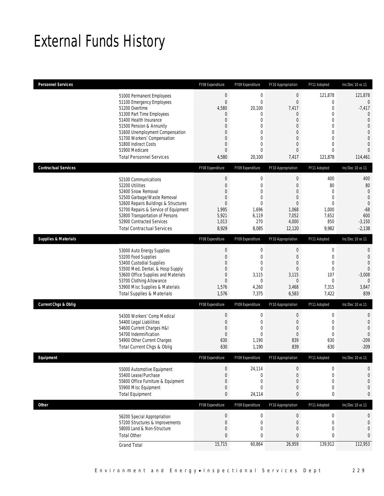# External Funds History

| Personnel Services                                                           | FY08 Expenditure                 | FY09 Expenditure                          | FY10 Appropriation               | FY11 Adopted                | Inc/Dec 10 vs 11                 |
|------------------------------------------------------------------------------|----------------------------------|-------------------------------------------|----------------------------------|-----------------------------|----------------------------------|
| 51000 Permanent Employees<br>51100 Emergency Employees                       | $\mathbf{0}$<br>$\overline{0}$   | $\boldsymbol{0}$<br>$\mathbf 0$<br>20,100 | $\boldsymbol{0}$<br>$\mathbf{0}$ | 121,878<br>0<br>$\mathbf 0$ | 121,878<br>$\overline{0}$        |
| 51200 Overtime<br>51300 Part Time Employees                                  | 4,580<br>$\overline{0}$          | $\mathbf 0$                               | 7,417<br>0                       | 0                           | $-7,417$<br>$\mathbf 0$          |
| 51400 Health Insurance                                                       | $\overline{0}$                   | $\mathbf 0$                               | $\mathbf{0}$                     | $\Omega$                    | $\overline{0}$                   |
| 51500 Pension & Annunity                                                     | $\mathbf 0$                      | 0                                         | $\mathbf 0$                      | 0                           | $\overline{0}$                   |
| 51600 Unemployment Compensation                                              | $\overline{0}$                   | 0                                         | $\mathbf{0}$                     | $\Omega$<br>$\mathbf{0}$    | $\mathbf{0}$                     |
| 51700 Workers' Compensation<br>51800 Indirect Costs                          | $\mathbf 0$<br>$\overline{0}$    | $\boldsymbol{0}$<br>0                     | $\boldsymbol{0}$<br>$\mathbf{0}$ | 0                           | $\overline{0}$<br>$\overline{0}$ |
| 51900 Medicare                                                               | $\overline{0}$                   | $\mathbf 0$                               | $\mathbf{0}$                     | 0                           | $\overline{0}$                   |
| <b>Total Personnel Services</b>                                              | 4,580                            | 20,100                                    | 7,417                            | 121,878                     | 114,461                          |
| <b>Contractual Services</b>                                                  | FY08 Expenditure                 | FY09 Expenditure                          | FY10 Appropriation               | FY11 Adopted                | Inc/Dec 10 vs 11                 |
| 52100 Communications                                                         | $\boldsymbol{0}$                 | $\boldsymbol{0}$                          | $\boldsymbol{0}$                 | 400                         | 400                              |
| 52200 Utilities                                                              | $\mathbf 0$                      | $\boldsymbol{0}$                          | $\mathbf 0$                      | 80                          | 80                               |
| 52400 Snow Removal                                                           | $\overline{0}$                   | $\mathbf 0$                               | $\mathbf{0}$                     | $\mathbf{0}$                | $\mathbf{0}$                     |
| 52500 Garbage/Waste Removal                                                  | $\mathbf 0$                      | $\boldsymbol{0}$                          | $\boldsymbol{0}$                 | $\mathbf{0}$                | $\overline{0}$                   |
| 52600 Repairs Buildings & Structures<br>52700 Repairs & Service of Equipment | $\overline{0}$<br>1,995          | 0<br>1,696                                | $\mathbf{0}$<br>1,068            | 0<br>1,000                  | $\mathbf 0$<br>$-68$             |
| 52800 Transportation of Persons                                              | 5,921                            | 6,119                                     | 7,052                            | 7,652                       | 600                              |
| 52900 Contracted Services                                                    | 1,013                            | 270                                       | 4,000                            | 850                         | $-3,150$                         |
| <b>Total Contractual Services</b>                                            | 8,929                            | 8,085                                     | 12,120                           | 9,982                       | $-2,138$                         |
| <b>Supplies &amp; Materials</b>                                              | FY08 Expenditure                 | FY09 Expenditure                          | FY10 Appropriation               | FY11 Adopted                | Inc/Dec 10 vs 11                 |
| 53000 Auto Energy Supplies                                                   | $\boldsymbol{0}$                 | $\boldsymbol{0}$                          | $\boldsymbol{0}$                 | $\mathbf 0$                 | $\mathbf{0}$                     |
| 53200 Food Supplies                                                          | $\mathbf 0$                      | $\boldsymbol{0}$                          | $\mathbf 0$                      | $\mathbf 0$                 | $\mathbf{0}$                     |
| 53400 Custodial Supplies                                                     | $\overline{0}$                   | $\mathbf 0$                               | $\mathbf{0}$                     | $\mathbf{0}$                | $\mathbf{0}$                     |
| 53500 Med, Dental, & Hosp Supply                                             | 0                                | $\boldsymbol{0}$                          | $\boldsymbol{0}$                 | $\mathbf 0$                 | $\overline{0}$                   |
| 53600 Office Supplies and Materials<br>53700 Clothing Allowance              | $\overline{0}$<br>$\overline{0}$ | 3,115<br>0                                | 3,115<br>0                       | 107<br>$\overline{0}$       | $-3,008$<br>$\overline{0}$       |
| 53900 Misc Supplies & Materials                                              | 1,576                            | 4,260                                     | 3,468                            | 7,315                       | 3,847                            |
| <b>Total Supplies &amp; Materials</b>                                        | 1,576                            | 7,375                                     | 6,583                            | 7,422                       | 839                              |
| <b>Current Chgs &amp; Oblig</b>                                              | FY08 Expenditure                 | FY09 Expenditure                          | FY10 Appropriation               | FY11 Adopted                | Inc/Dec 10 vs 11                 |
| 54300 Workers' Comp Medical                                                  | $\mathbf 0$                      | 0                                         | 0                                | 0                           | $\mathbf{0}$                     |
| 54400 Legal Liabilities                                                      | $\mathbf 0$                      | 0                                         | $\mathbf 0$                      | 0                           | $\mathbf{0}$                     |
| 54600 Current Charges H&I                                                    | $\mathbf 0$                      | $\boldsymbol{0}$                          | $\mathbf 0$                      | $\mathbf 0$                 | $\mathbf 0$                      |
| 54700 Indemnification                                                        | $\overline{0}$                   | $\mathbf 0$                               | $\mathbf{0}$                     | $\mathbf{0}$                | $\overline{0}$                   |
| 54900 Other Current Charges                                                  | 630                              | 1,190                                     | 839                              | 630                         | $-209$                           |
| Total Current Chgs & Oblig                                                   | 630                              | 1,190                                     | 839                              | 630                         | $-209$                           |
| Eauipment                                                                    | FY08 Expenditure                 | FY09 Expenditure                          | FY10 Appropriation               | FY11 Adopted                | Inc/Dec 10 vs 11                 |
| 55000 Automotive Equipment                                                   | 0                                | 24,114                                    | 0                                | $\overline{0}$              | $\mathbf 0$                      |
| 55400 Lease/Purchase                                                         | $\overline{0}$                   | $\mathbf 0$                               | 0                                | 0                           | $\overline{0}$                   |
| 55600 Office Furniture & Equipment<br>55900 Misc Equipment                   | $\mathbf 0$<br>$\mathbf 0$       | $\boldsymbol{0}$<br>$\mathbf 0$           | $\boldsymbol{0}$                 | 0<br>0                      | $\overline{0}$                   |
| <b>Total Equipment</b>                                                       | $\mathbf{0}$                     | 24,114                                    | 0<br>0                           | 0                           | $\mathbf 0$<br>$\mathbf{0}$      |
| <b>Other</b>                                                                 | FY08 Expenditure                 | FY09 Expenditure                          | FY10 Appropriation               | FY11 Adopted                | Inc/Dec 10 vs 11                 |
|                                                                              |                                  | $\boldsymbol{0}$                          | $\boldsymbol{0}$                 | $\mathbf 0$                 | $\mathbf{0}$                     |
| 56200 Special Appropriation<br>57200 Structures & Improvements               | $\bf{0}$<br>$\mathbf 0$          | $\boldsymbol{0}$                          | $\boldsymbol{0}$                 | $\mathbf 0$                 | $\mathbf{0}$                     |
| 58000 Land & Non-Structure                                                   | $\mathbf 0$                      | $\mathbf 0$                               | $\boldsymbol{0}$                 | 0                           | $\mathbf{0}$                     |
| <b>Total Other</b>                                                           | $\mathbf{0}$                     | 0                                         | 0                                | 0                           | $\theta$                         |
| <b>Grand Total</b>                                                           | 15,715                           | 60,864                                    | 26,959                           | 139,912                     | 112,953                          |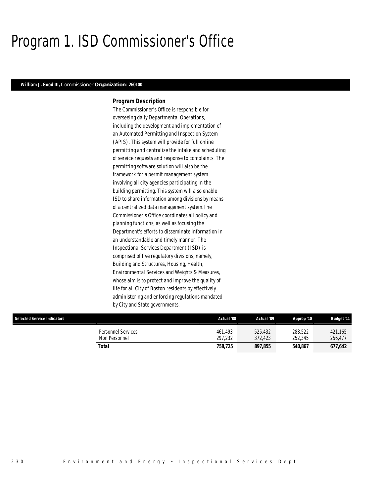# Program 1. ISD Commissioner's Office

### *William J. Good III, Commissioner Organization: 260100*

### *Program Description*

The Commissioner's Office is responsible for overseeing daily Departmental Operations, including the development and implementation of an Automated Permitting and Inspection System (APIS). This system will provide for full online permitting and centralize the intake and scheduling of service requests and response to complaints. The permitting software solution will also be the framework for a permit management system involving all city agencies participating in the building permitting. This system will also enable ISD to share information among divisions by means of a centralized data management system.The Commissioner's Office coordinates all policy and planning functions, as well as focusing the Department's efforts to disseminate information in an understandable and timely manner. The Inspectional Services Department (ISD) is comprised of five regulatory divisions, namely, Building and Structures, Housing, Health, Environmental Services and Weights & Measures, whose aim is to protect and improve the quality of life for all City of Boston residents by effectively administering and enforcing regulations mandated by City and State governments.

| <b>Selected Service Indicators</b>  | Actual '08         | Actual '09         | Approp '10         | <b>Budget '11</b>  |
|-------------------------------------|--------------------|--------------------|--------------------|--------------------|
| Personnel Services<br>Non Personnel | 461.493<br>297.232 | 525.432<br>372.423 | 288,522<br>252,345 | 421.165<br>256,477 |
| Total                               | 758,725            | 897.855            | 540.867            | 677,642            |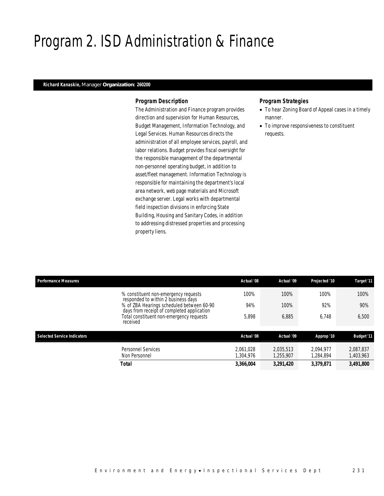# Program 2. ISD Administration & Finance

### *Richard Kanaskie, Manager Organization: 260200*

### *Program Description*

The Administration and Finance program provides direction and supervision for Human Resources, Budget Management, Information Technology, and Legal Services. Human Resources directs the administration of all employee services, payroll, and labor relations. Budget provides fiscal oversight for the responsible management of the departmental non-personnel operating budget, in addition to asset/fleet management. Information Technology is responsible for maintaining the department's local area network, web page materials and Microsoft exchange server. Legal works with departmental field inspection divisions in enforcing State Building, Housing and Sanitary Codes, in addition to addressing distressed properties and processing property liens.

- To hear Zoning Board of Appeal cases in a timely manner.
- To improve responsiveness to constituent requests.

| <b>Performance Measures</b>                                                             | Actual '08             | Actual '09             | Projected '10          | Target '11             |
|-----------------------------------------------------------------------------------------|------------------------|------------------------|------------------------|------------------------|
| % constituent non-emergency requests<br>responded to within 2 business days             | 100%                   | 100%                   | 100%                   | 100%                   |
| % of ZBA Hearings scheduled between 60-90<br>days from receipt of completed application | 94%                    | 100%                   | 92%                    | 90%                    |
| Total constituent non-emergency requests<br>received                                    | 5.898                  | 6.885                  | 6.748                  | 6,500                  |
| <b>Selected Service Indicators</b>                                                      | Actual '08             | Actual '09             | Approp '10             | <b>Budget '11</b>      |
| Personnel Services<br>Non Personnel                                                     | 2.061.028<br>1,304,976 | 2.035.513<br>1.255.907 | 2.094.977<br>1.284.894 | 2.087.837<br>1,403,963 |
| Total                                                                                   | 3,366,004              | 3,291,420              | 3,379,871              | 3,491,800              |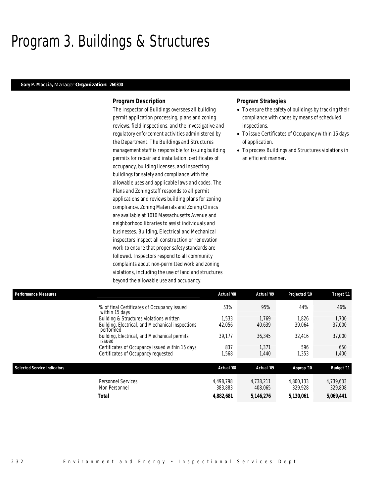# Program 3. Buildings & Structures

#### *Gary P. Moccia, Manager Organization: 260300*

#### *Program Description*

The Inspector of Buildings oversees all building permit application processing, plans and zoning reviews, field inspections, and the investigative and regulatory enforcement activities administered by the Department. The Buildings and Structures management staff is responsible for issuing building permits for repair and installation, certificates of occupancy, building licenses, and inspecting buildings for safety and compliance with the allowable uses and applicable laws and codes. The Plans and Zoning staff responds to all permit applications and reviews building plans for zoning compliance. Zoning Materials and Zoning Clinics are available at 1010 Massachusetts Avenue and neighborhood libraries to assist individuals and businesses. Building, Electrical and Mechanical inspectors inspect all construction or renovation work to ensure that proper safety standards are followed. Inspectors respond to all community complaints about non-permitted work and zoning violations, including the use of land and structures beyond the allowable use and occupancy.

- To ensure the safety of buildings by tracking their compliance with codes by means of scheduled inspections.
- To issue Certificates of Occupancy within 15 days of application.
- To process Buildings and Structures violations in an efficient manner.

| <b>Performance Measures</b> |                                                               | Actual '08           | Actual '09           | Projected '10        | Target '11           |
|-----------------------------|---------------------------------------------------------------|----------------------|----------------------|----------------------|----------------------|
|                             | % of final Certificates of Occupancy issued<br>within 15 days | 53%                  | 95%                  | 44%                  | 46%                  |
|                             | Building & Structures violations written                      | 1.533                | 1.769                | 1.826                | 1.700                |
|                             | Building, Electrical, and Mechanical inspections<br>performed | 42,056               | 40,639               | 39,064               | 37,000               |
|                             | Building, Electrical, and Mechanical permits<br>issued        | 39,177               | 36,345               | 32.416               | 37,000               |
|                             | Certificates of Occupancy issued within 15 days               | 837                  | 1.371                | 596                  | 650                  |
|                             | Certificates of Occupancy requested                           | 1,568                | 1,440                | 1,353                | 1,400                |
| Selected Service Indicators |                                                               | Actual '08           | Actual '09           | Approp '10           | <b>Budget '11</b>    |
|                             | Personnel Services<br>Non Personnel                           | 4.498.798<br>383,883 | 4.738.211<br>408.065 | 4.800.133<br>329.928 | 4,739,633<br>329,808 |
|                             | <b>Total</b>                                                  | 4,882,681            | 5,146,276            | 5,130,061            | 5,069,441            |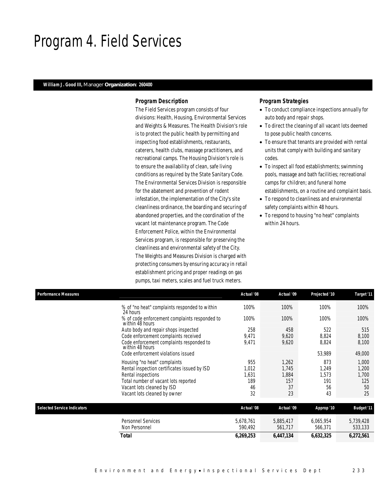## Program 4. Field Services

### *William J. Good III, Manager Organization: 260400*

### *Program Description*

The Field Services program consists of four divisions: Health, Housing, Environmental Services and Weights & Measures. The Health Division's role is to protect the public health by permitting and inspecting food establishments, restaurants, caterers, health clubs, massage practitioners, and recreational camps. The Housing Division's role is to ensure the availability of clean, safe living conditions as required by the State Sanitary Code. The Environmental Services Division is responsible for the abatement and prevention of rodent infestation, the implementation of the City's site cleanliness ordinance, the boarding and securing of abandoned properties, and the coordination of the vacant lot maintenance program. The Code Enforcement Police, within the Environmental Services program, is responsible for preserving the cleanliness and environmental safety of the City. The Weights and Measures Division is charged with protecting consumers by ensuring accuracy in retail establishment pricing and proper readings on gas pumps, taxi meters, scales and fuel truck meters.

- To conduct compliance inspections annually for auto body and repair shops.
- To direct the cleaning of all vacant lots deemed to pose public health concerns.
- To ensure that tenants are provided with rental units that comply with building and sanitary codes.
- To inspect all food establishments; swimming pools, massage and bath facilities; recreational camps for children; and funeral home establishments, on a routine and complaint basis.
- To respond to cleanliness and environmental safety complaints within 48 hours.
- To respond to housing "no heat" complaints within 24 hours.

| <b>Performance Measures</b>                                      | Actual '08 | Actual '09 | Projected '10 | Target '11        |
|------------------------------------------------------------------|------------|------------|---------------|-------------------|
| % of "no heat" complaints responded to within<br>24 hours        | 100%       | 100%       | 100%          | 100%              |
| % of code enforcement complaints responded to<br>within 48 hours | 100%       | 100%       | 100%          | 100%              |
| Auto body and repair shops inspected                             | 258        | 458        | 522           | 515               |
| Code enforcement complaints received                             | 9,471      | 9,620      | 8,824         | 8,100             |
| Code enforcement complaints responded to<br>within 48 hours      | 9,471      | 9,620      | 8,824         | 8,100             |
| Code enforcement violations issued                               |            |            | 53,989        | 49,000            |
| Housing "no heat" complaints                                     | 955        | 1,262      | 873           | 1,000             |
| Rental inspection certificates issued by ISD                     | 1,012      | 1,745      | 1,249         | 1,200             |
| Rental inspections                                               | 1,631      | 1,884      | 1,573         | 1,700             |
| Total number of vacant lots reported                             | 189        | 157        | 191           | 125               |
| Vacant lots cleaned by ISD                                       | 46<br>32   | 37         | 56            | 50<br>25          |
| Vacant lots cleaned by owner                                     |            | 23         | 43            |                   |
| <b>Selected Service Indicators</b>                               | Actual '08 | Actual '09 | Approp '10    | <b>Budget '11</b> |
| <b>Personnel Services</b>                                        | 5,678,761  | 5,885,417  | 6,065,954     | 5,739,428         |
| Non Personnel                                                    | 590,492    | 561,717    | 566,371       | 533,133           |
| Total                                                            | 6,269,253  | 6,447,134  | 6,632,325     | 6,272,561         |